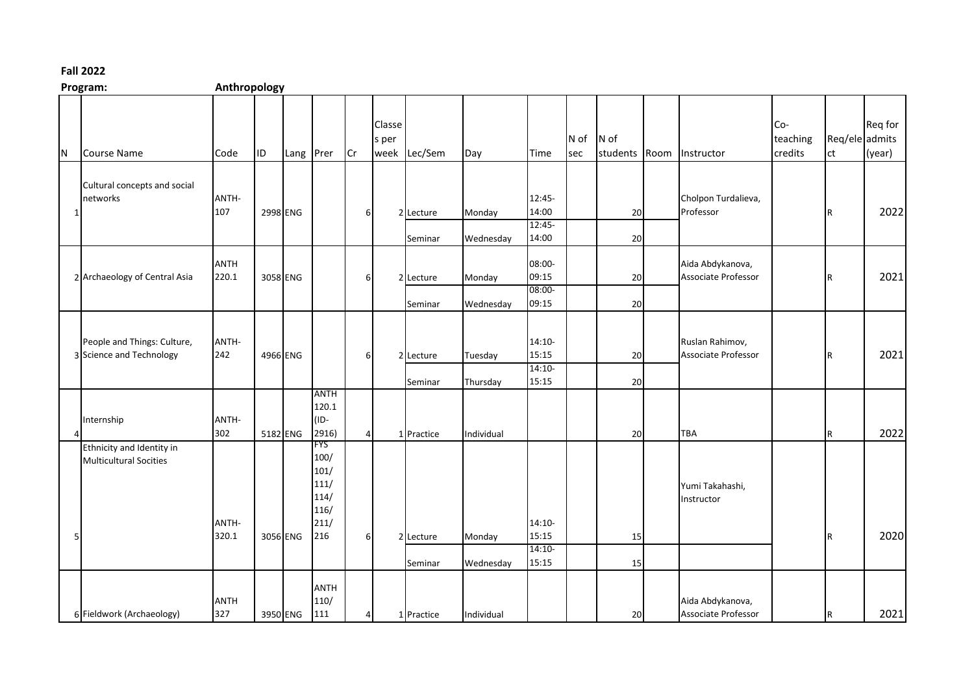## **Fall 2022**

| Program: | Anthropology |
|----------|--------------|
|          |              |

|     | LINGIQUII.                                                 | <b>Allull upulugy</b> |          |           |                                             |                |                 |                      |                     |                                        |             |                       |                                         |                            |                      |                   |
|-----|------------------------------------------------------------|-----------------------|----------|-----------|---------------------------------------------|----------------|-----------------|----------------------|---------------------|----------------------------------------|-------------|-----------------------|-----------------------------------------|----------------------------|----------------------|-------------------|
| IN. | <b>Course Name</b>                                         | Code                  | ID.      | Lang Prer |                                             | Cr             | Classe<br>s per | week Lec/Sem         | Day                 | <b>Time</b>                            | N of<br>sec | N of<br>students Room | Instructor                              | Co-<br>teaching<br>credits | Req/ele admits<br>ct | Req for<br>(year) |
| 1   | Cultural concepts and social<br>networks                   | ANTH-<br>107          | 2998 ENG |           |                                             | 6              |                 | 2 Lecture<br>Seminar | Monday<br>Wednesday | 12:45-<br>14:00<br>$12:45-$<br>14:00   |             | 20<br>20              | Cholpon Turdalieva,<br>Professor        |                            | IR.                  | 2022              |
|     | 2 Archaeology of Central Asia                              | <b>ANTH</b><br>220.1  |          | 3058 ENG  |                                             | 6              |                 | 2 Lecture<br>Seminar | Monday<br>Wednesday | 08:00-<br>09:15<br>$08:00 -$<br>09:15  |             | 20<br>20              | Aida Abdykanova,<br>Associate Professor |                            | R                    | 2021              |
|     | People and Things: Culture,<br>3 Science and Technology    | ANTH-<br>242          |          | 4966 ENG  |                                             | 6              |                 | 2 Lecture<br>Seminar | Tuesday<br>Thursday | $14:10-$<br>15:15<br>$14:10-$<br>15:15 |             | 20<br>20              | Ruslan Rahimov,<br>Associate Professor  |                            | R                    | 2021              |
|     | Internship                                                 | ANTH-<br>302          |          | 5182 ENG  | <b>ANTH</b><br>120.1<br>(ID-<br>2916)       | Δ              |                 | 1 Practice           | Individual          |                                        |             | 20                    | TBA                                     |                            | $\mathsf R$          | 2022              |
|     | Ethnicity and Identity in<br><b>Multicultural Socities</b> |                       |          |           | FYS<br>100/<br>101/<br>111/<br>114/<br>116/ |                |                 |                      |                     |                                        |             |                       | Yumi Takahashi,<br>Instructor           |                            |                      |                   |
|     |                                                            | ANTH-<br>320.1        |          | 3056 ENG  | 211/<br>216                                 | 6              |                 | 2 Lecture<br>Seminar | Monday<br>Wednesday | $14:10-$<br>15:15<br>$14:10-$<br>15:15 |             | 15<br>15              |                                         |                            | IR.                  | 2020              |
|     | 6 Fieldwork (Archaeology)                                  | <b>ANTH</b><br>327    |          | 3950 ENG  | <b>ANTH</b><br>110/<br>111                  | $\overline{4}$ |                 | 1 Practice           | Individual          |                                        |             | 20                    | Aida Abdykanova,<br>Associate Professor |                            | $\mathsf R$          | 2021              |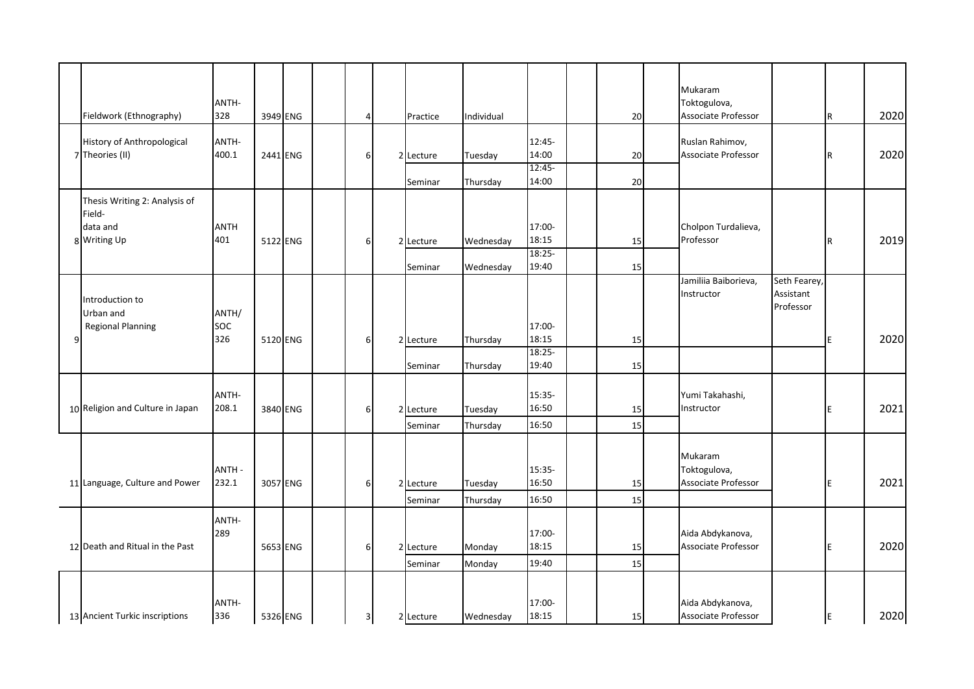|   | Fieldwork (Ethnography)                                             | ANTH-<br>328               | 3949 ENG | 4 | Practice             | Individual          |                              | 20       | Mukaram<br>Toktogulova,<br>Associate Professor |                                        | R   | 2020 |
|---|---------------------------------------------------------------------|----------------------------|----------|---|----------------------|---------------------|------------------------------|----------|------------------------------------------------|----------------------------------------|-----|------|
|   | History of Anthropological<br>7 Theories (II)                       | ANTH-<br>400.1             | 2441 ENG | 6 | 2 Lecture            | Tuesday             | 12:45-<br>14:00              | 20       | Ruslan Rahimov,<br>Associate Professor         |                                        |     | 2020 |
|   |                                                                     |                            |          |   | Seminar              | Thursday            | 12:45-<br>14:00              | 20       |                                                |                                        | R   |      |
|   | Thesis Writing 2: Analysis of<br>Field-<br>data and<br>8 Writing Up | <b>ANTH</b><br>401         | 5122 ENG | 6 | 2 Lecture            | Wednesday           | 17:00-<br>18:15<br>$18:25 -$ | 15       | Cholpon Turdalieva,<br>Professor               |                                        | R   | 2019 |
|   | Introduction to                                                     |                            |          |   | Seminar              | Wednesday           | 19:40                        | 15       | Jamiliia Baiborieva,<br>Instructor             | Seth Fearey,<br>Assistant<br>Professor |     |      |
| 9 | Urban and<br><b>Regional Planning</b>                               | ANTH/<br><b>SOC</b><br>326 | 5120 ENG | 6 | 2 Lecture            | Thursday            | 17:00-<br>18:15<br>$18:25 -$ | 15       |                                                |                                        |     | 2020 |
|   |                                                                     |                            |          |   | Seminar              | Thursday            | 19:40                        | 15       |                                                |                                        |     |      |
|   | 10 Religion and Culture in Japan                                    | ANTH-<br>208.1             | 3840 ENG | f | 2 Lecture<br>Seminar | Tuesday<br>Thursday | 15:35-<br>16:50<br>16:50     | 15<br>15 | Yumi Takahashi,<br>Instructor                  |                                        | E   | 2021 |
|   |                                                                     | <b>ANTH-</b>               |          |   |                      |                     | 15:35-                       |          | Mukaram<br>Toktogulova,                        |                                        |     |      |
|   | 11 Language, Culture and Power                                      | 232.1                      | 3057 ENG | f | 2 Lecture<br>Seminar | Tuesday<br>Thursday | 16:50<br>16:50               | 15<br>15 | Associate Professor                            |                                        | ΙE  | 2021 |
|   | 12 Death and Ritual in the Past                                     | ANTH-<br>289               | 5653 ENG | 6 | 2 Lecture<br>Seminar | Monday<br>Monday    | 17:00-<br>18:15<br>19:40     | 15<br>15 | Aida Abdykanova,<br>Associate Professor        |                                        | E.  | 2020 |
|   | 13 Ancient Turkic inscriptions                                      | ANTH-<br>336               | 5326 ENG | 3 | 2 Lecture            | Wednesday           | 17:00-<br>18:15              | 15       | Aida Abdykanova,<br>Associate Professor        |                                        | IE. | 2020 |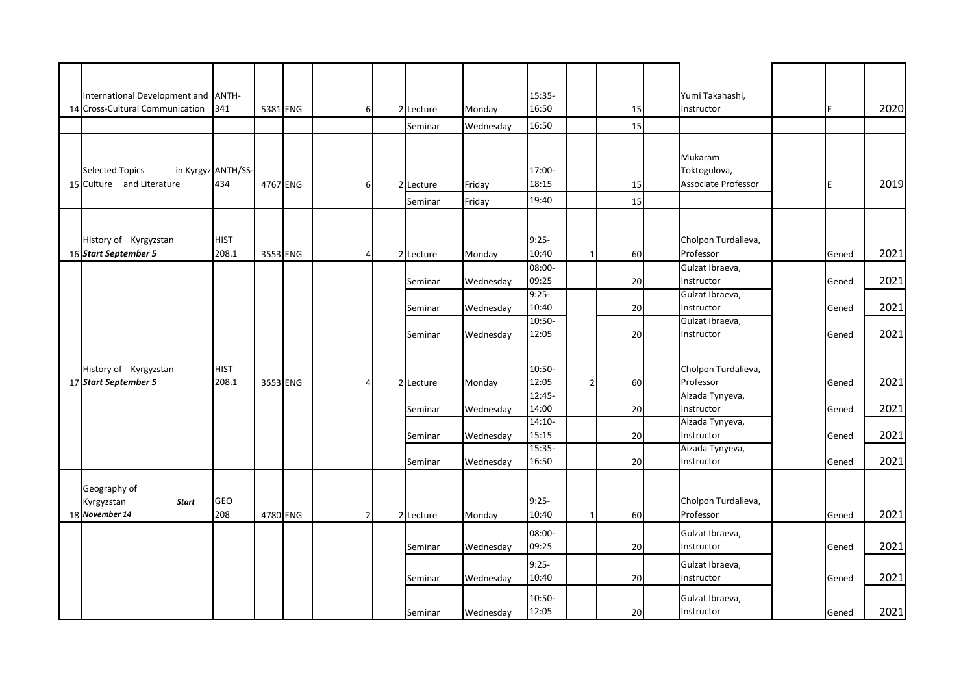| International Development and ANTH- |                    |          |          |                |                |           |           | 15:35-            |                |    | Yumi Takahashi,                  |       |      |
|-------------------------------------|--------------------|----------|----------|----------------|----------------|-----------|-----------|-------------------|----------------|----|----------------------------------|-------|------|
| 14 Cross-Cultural Communication     | 341                |          | 5381 ENG | 6              |                | 2 Lecture | Monday    | 16:50             |                | 15 | Instructor                       | E     | 2020 |
|                                     |                    |          |          |                |                | Seminar   | Wednesday | 16:50             |                | 15 |                                  |       |      |
|                                     |                    |          |          |                |                |           |           |                   |                |    |                                  |       |      |
|                                     |                    |          |          |                |                |           |           |                   |                |    | Mukaram                          |       |      |
| <b>Selected Topics</b>              | in Kyrgyz ANTH/SS- |          |          |                |                |           |           | 17:00-            |                |    | Toktogulova,                     |       |      |
| 15 Culture and Literature           | 434                |          | 4767 ENG | 6              | $\overline{2}$ | Lecture   | Friday    | 18:15             |                | 15 | <b>Associate Professor</b>       |       | 2019 |
|                                     |                    |          |          |                |                | Seminar   | Friday    | 19:40             |                | 15 |                                  |       |      |
|                                     |                    |          |          |                |                |           |           |                   |                |    |                                  |       |      |
|                                     |                    |          |          |                |                |           |           |                   |                |    |                                  |       |      |
| History of Kyrgyzstan               | <b>HIST</b>        |          |          |                |                |           |           | $9:25-$           |                |    | Cholpon Turdalieva,              |       |      |
| 16 Start September 5                | 208.1              |          | 3553 ENG | 4              |                | 2 Lecture | Monday    | 10:40             | $\mathbf{1}$   | 60 | Professor                        | Gened | 2021 |
|                                     |                    |          |          |                |                |           |           | 08:00-            |                |    | Gulzat Ibraeva,                  |       |      |
|                                     |                    |          |          |                |                | Seminar   | Wednesday | 09:25             |                | 20 | Instructor                       | Gened | 2021 |
|                                     |                    |          |          |                |                |           |           | $9:25-$           |                |    | Gulzat Ibraeva,                  |       |      |
|                                     |                    |          |          |                |                | Seminar   | Wednesday | 10:40             |                | 20 | Instructor                       | Gened | 2021 |
|                                     |                    |          |          |                |                |           |           | $10:50-$          |                |    | Gulzat Ibraeva,                  |       |      |
|                                     |                    |          |          |                |                | Seminar   | Wednesday | 12:05             |                | 20 | Instructor                       | Gened | 2021 |
|                                     |                    |          |          |                |                |           |           |                   |                |    |                                  |       |      |
|                                     |                    |          |          |                |                |           |           |                   |                |    |                                  |       |      |
| History of Kyrgyzstan               | HIST<br>208.1      |          |          |                |                |           |           | 10:50-            |                |    | Cholpon Turdalieva,<br>Professor |       | 2021 |
| 17 Start September 5                |                    |          | 3553 ENG | 4              |                | 2 Lecture | Monday    | 12:05<br>$12:45-$ | $\overline{2}$ | 60 |                                  | Gened |      |
|                                     |                    |          |          |                |                |           |           | 14:00             |                |    | Aizada Tynyeva,<br>Instructor    |       | 2021 |
|                                     |                    |          |          |                |                | Seminar   | Wednesday | $14:10-$          |                | 20 | Aizada Tynyeva,                  | Gened |      |
|                                     |                    |          |          |                |                | Seminar   | Wednesday | 15:15             |                | 20 | Instructor                       | Gened | 2021 |
|                                     |                    |          |          |                |                |           |           | $15:35-$          |                |    | Aizada Tynyeva,                  |       |      |
|                                     |                    |          |          |                |                | Seminar   | Wednesday | 16:50             |                | 20 | Instructor                       | Gened | 2021 |
|                                     |                    |          |          |                |                |           |           |                   |                |    |                                  |       |      |
| Geography of                        |                    |          |          |                |                |           |           |                   |                |    |                                  |       |      |
| Kyrgyzstan<br><b>Start</b>          | GEO                |          |          |                |                |           |           | $9:25-$           |                |    | Cholpon Turdalieva,              |       |      |
| 18 November 14                      | 208                | 4780 ENG |          | $\overline{2}$ |                | 2 Lecture | Monday    | 10:40             | $\mathbf{1}$   | 60 | Professor                        | Gened | 2021 |
|                                     |                    |          |          |                |                |           |           | 08:00-            |                |    | Gulzat Ibraeva,                  |       |      |
|                                     |                    |          |          |                |                | Seminar   | Wednesday | 09:25             |                | 20 | Instructor                       | Gened | 2021 |
|                                     |                    |          |          |                |                |           |           |                   |                |    |                                  |       |      |
|                                     |                    |          |          |                |                |           |           | $9:25-$           |                |    | Gulzat Ibraeva,                  |       |      |
|                                     |                    |          |          |                |                | Seminar   | Wednesday | 10:40             |                | 20 | Instructor                       | Gened | 2021 |
|                                     |                    |          |          |                |                |           |           | 10:50-            |                |    | Gulzat Ibraeva,                  |       |      |
|                                     |                    |          |          |                |                | Seminar   | Wednesday | 12:05             |                | 20 | Instructor                       | Gened | 2021 |